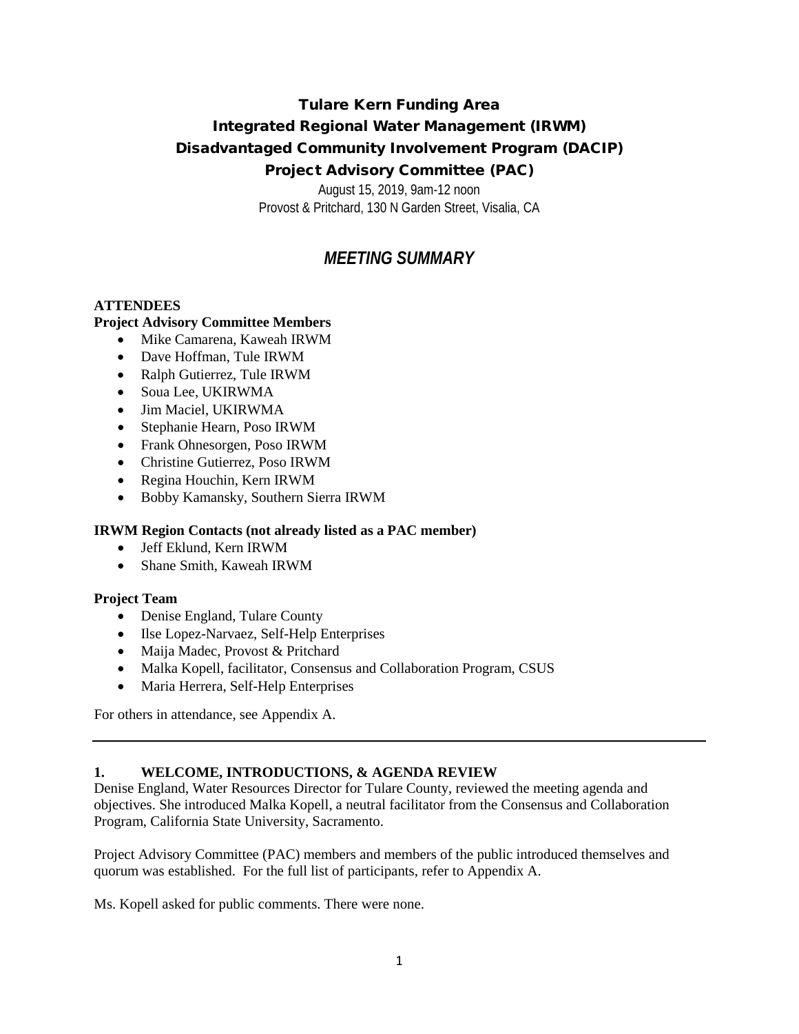# Tulare Kern Funding Area Integrated Regional Water Management (IRWM) Disadvantaged Community Involvement Program (DACIP) Project Advisory Committee (PAC)

August 15, 2019, 9am-12 noon Provost & Pritchard, 130 N Garden Street, Visalia, CA

# *MEETING SUMMARY*

## **ATTENDEES**

## **Project Advisory Committee Members**

- Mike Camarena, Kaweah IRWM
- Dave Hoffman, Tule IRWM
- Ralph Gutierrez, Tule IRWM
- Soua Lee, UKIRWMA
- Jim Maciel, UKIRWMA
- Stephanie Hearn, Poso IRWM
- Frank Ohnesorgen, Poso IRWM
- Christine Gutierrez, Poso IRWM
- Regina Houchin, Kern IRWM
- Bobby Kamansky, Southern Sierra IRWM

## **IRWM Region Contacts (not already listed as a PAC member)**

- Jeff Eklund, Kern IRWM
- Shane Smith, Kaweah IRWM

## **Project Team**

- Denise England, Tulare County
- Ilse Lopez-Narvaez, Self-Help Enterprises
- Maija Madec, Provost & Pritchard
- Malka Kopell, facilitator, Consensus and Collaboration Program, CSUS
- Maria Herrera, Self-Help Enterprises

For others in attendance, see Appendix A.

## **1. WELCOME, INTRODUCTIONS, & AGENDA REVIEW**

Denise England, Water Resources Director for Tulare County, reviewed the meeting agenda and objectives. She introduced Malka Kopell, a neutral facilitator from the Consensus and Collaboration Program, California State University, Sacramento.

Project Advisory Committee (PAC) members and members of the public introduced themselves and quorum was established. For the full list of participants, refer to Appendix A.

Ms. Kopell asked for public comments. There were none.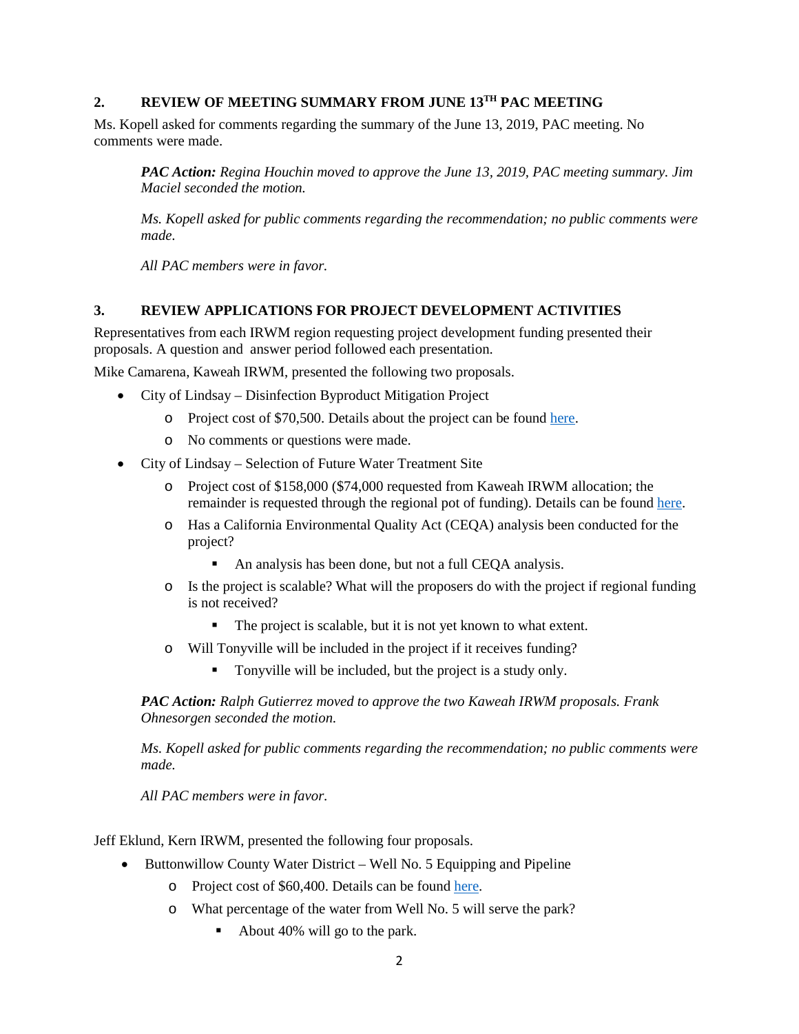## **2. REVIEW OF MEETING SUMMARY FROM JUNE 13TH PAC MEETING**

Ms. Kopell asked for comments regarding the summary of the June 13, 2019, PAC meeting. No comments were made.

*PAC Action: Regina Houchin moved to approve the June 13, 2019, PAC meeting summary. Jim Maciel seconded the motion.* 

*Ms. Kopell asked for public comments regarding the recommendation; no public comments were made.*

*All PAC members were in favor.*

#### **3. REVIEW APPLICATIONS FOR PROJECT DEVELOPMENT ACTIVITIES**

Representatives from each IRWM region requesting project development funding presented their proposals. A question and answer period followed each presentation.

Mike Camarena, Kaweah IRWM, presented the following two proposals.

- City of Lindsay Disinfection Byproduct Mitigation Project
	- o Project cost of \$70,500. Details about the project can be foun[d here.](https://tularelakebasin.com/alliance/index.cfm/tulare-kern-dac-involvement/project-development/kaweah-city-of-lindsay-disinfection-by-product1/)
	- o No comments or questions were made.
- City of Lindsay Selection of Future Water Treatment Site
	- o Project cost of \$158,000 (\$74,000 requested from Kaweah IRWM allocation; the remainder is requested through the regional pot of funding). Details can be found [here.](https://tularelakebasin.com/alliance/index.cfm/tulare-kern-dac-involvement/project-development/kaweah-city-of-lindsay-future-wwtp-site/)
	- o Has a California Environmental Quality Act (CEQA) analysis been conducted for the project?
		- An analysis has been done, but not a full CEQA analysis.
	- o Is the project is scalable? What will the proposers do with the project if regional funding is not received?
		- The project is scalable, but it is not yet known to what extent.
	- o Will Tonyville will be included in the project if it receives funding?
		- Tonyville will be included, but the project is a study only.

*PAC Action: Ralph Gutierrez moved to approve the two Kaweah IRWM proposals. Frank Ohnesorgen seconded the motion.* 

*Ms. Kopell asked for public comments regarding the recommendation; no public comments were made.*

*All PAC members were in favor.*

Jeff Eklund, Kern IRWM, presented the following four proposals.

- Buttonwillow County Water District Well No. 5 Equipping and Pipeline
	- o Project cost of \$60,400. Details can be found [here.](https://tularelakebasin.com/alliance/index.cfm/tulare-kern-dac-involvement/project-development/kern-buttonwillow/)
	- o What percentage of the water from Well No. 5 will serve the park?
		- About 40% will go to the park.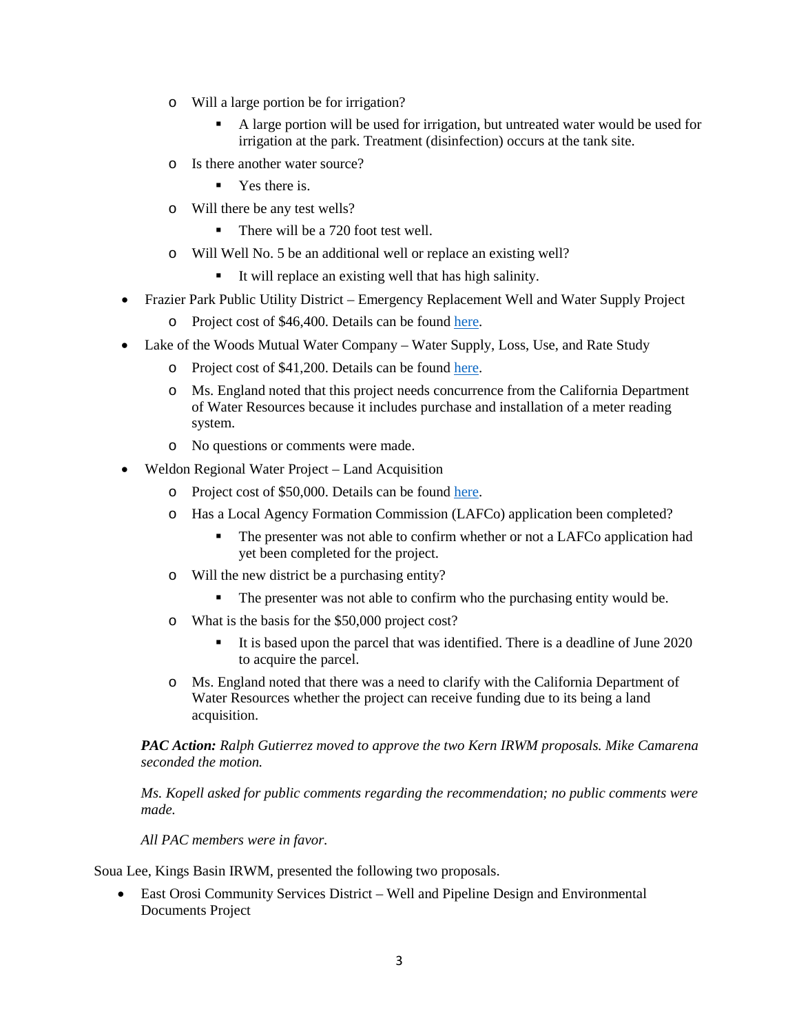- o Will a large portion be for irrigation?
	- A large portion will be used for irrigation, but untreated water would be used for irrigation at the park. Treatment (disinfection) occurs at the tank site.
- o Is there another water source?
	- Yes there is.
- o Will there be any test wells?
	- There will be a 720 foot test well.
- o Will Well No. 5 be an additional well or replace an existing well?
	- It will replace an existing well that has high salinity.
- Frazier Park Public Utility District Emergency Replacement Well and Water Supply Project
	- o Project cost of \$46,400. Details can be found [here.](https://tularelakebasin.com/alliance/index.cfm/tulare-kern-dac-involvement/project-development/kern-frazier-park/)
- Lake of the Woods Mutual Water Company Water Supply, Loss, Use, and Rate Study
	- o Project cost of \$41,200. Details can be found [here.](https://tularelakebasin.com/alliance/index.cfm/tulare-kern-dac-involvement/project-development/kern-lake-of-the-woods/)
	- o Ms. England noted that this project needs concurrence from the California Department of Water Resources because it includes purchase and installation of a meter reading system.
	- o No questions or comments were made.
- Weldon Regional Water Project Land Acquisition
	- o Project cost of \$50,000. Details can be found [here.](https://tularelakebasin.com/alliance/index.cfm/tulare-kern-dac-involvement/project-development/weldon-regional-water-project/)
	- o Has a Local Agency Formation Commission (LAFCo) application been completed?
		- The presenter was not able to confirm whether or not a LAFCo application had yet been completed for the project.
	- o Will the new district be a purchasing entity?
		- The presenter was not able to confirm who the purchasing entity would be.
	- o What is the basis for the \$50,000 project cost?
		- It is based upon the parcel that was identified. There is a deadline of June 2020 to acquire the parcel.
	- o Ms. England noted that there was a need to clarify with the California Department of Water Resources whether the project can receive funding due to its being a land acquisition.

*PAC Action: Ralph Gutierrez moved to approve the two Kern IRWM proposals. Mike Camarena seconded the motion.* 

*Ms. Kopell asked for public comments regarding the recommendation; no public comments were made.*

*All PAC members were in favor.*

Soua Lee, Kings Basin IRWM, presented the following two proposals.

• East Orosi Community Services District – Well and Pipeline Design and Environmental Documents Project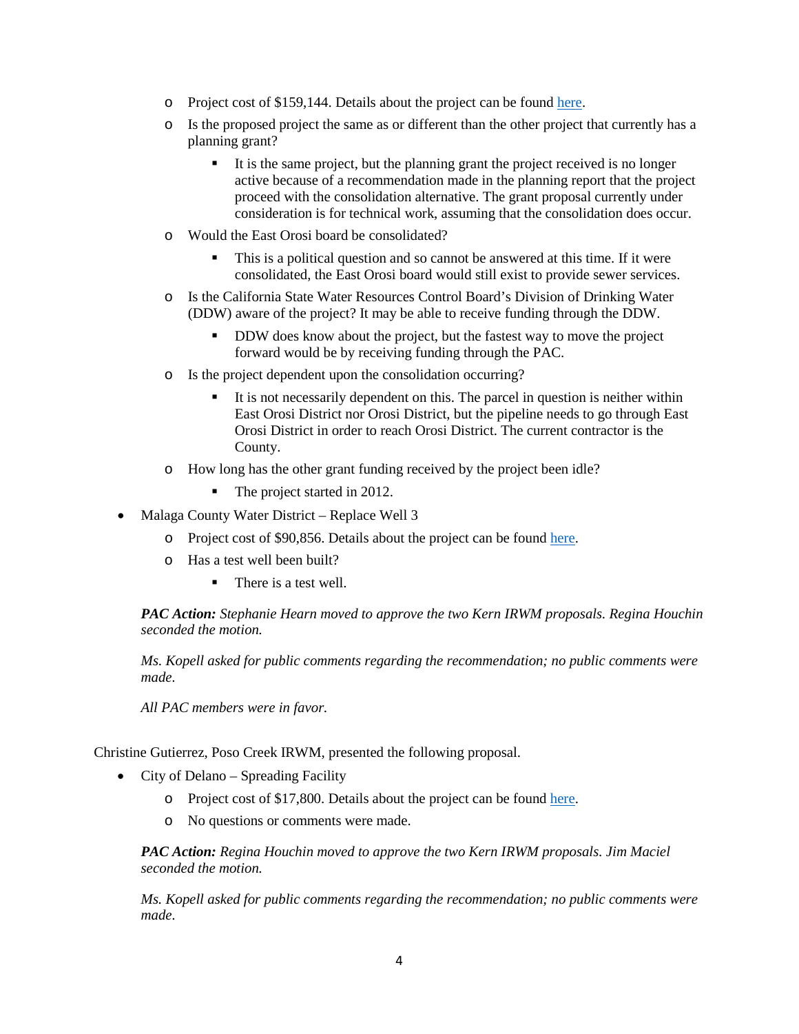- o Project cost of \$159,144. Details about the project can be found [here.](https://tularelakebasin.com/alliance/index.cfm/tulare-kern-dac-involvement/project-development/kings-east-orosi1/)
- o Is the proposed project the same as or different than the other project that currently has a planning grant?
	- It is the same project, but the planning grant the project received is no longer active because of a recommendation made in the planning report that the project proceed with the consolidation alternative. The grant proposal currently under consideration is for technical work, assuming that the consolidation does occur.
- o Would the East Orosi board be consolidated?
	- This is a political question and so cannot be answered at this time. If it were consolidated, the East Orosi board would still exist to provide sewer services.
- o Is the California State Water Resources Control Board's Division of Drinking Water (DDW) aware of the project? It may be able to receive funding through the DDW.
	- DDW does know about the project, but the fastest way to move the project forward would be by receiving funding through the PAC.
- o Is the project dependent upon the consolidation occurring?
	- It is not necessarily dependent on this. The parcel in question is neither within East Orosi District nor Orosi District, but the pipeline needs to go through East Orosi District in order to reach Orosi District. The current contractor is the County.
- o How long has the other grant funding received by the project been idle?
	- The project started in 2012.
- Malaga County Water District Replace Well 3
	- o Project cost of \$90,856. Details about the project can be foun[d here.](https://tularelakebasin.com/alliance/index.cfm/tulare-kern-dac-involvement/project-development/kings-malaga-cwd/)
	- o Has a test well been built?
		- There is a test well.

*PAC Action: Stephanie Hearn moved to approve the two Kern IRWM proposals. Regina Houchin seconded the motion.* 

*Ms. Kopell asked for public comments regarding the recommendation; no public comments were made.*

*All PAC members were in favor.*

Christine Gutierrez, Poso Creek IRWM, presented the following proposal.

- City of Delano Spreading Facility
	- o Project cost of \$17,800. Details about the project can be foun[d here.](https://tularelakebasin.com/alliance/index.cfm/tulare-kern-dac-involvement/project-development/poso-delano-spreading-pond/)
	- o No questions or comments were made.

*PAC Action: Regina Houchin moved to approve the two Kern IRWM proposals. Jim Maciel seconded the motion.* 

*Ms. Kopell asked for public comments regarding the recommendation; no public comments were made.*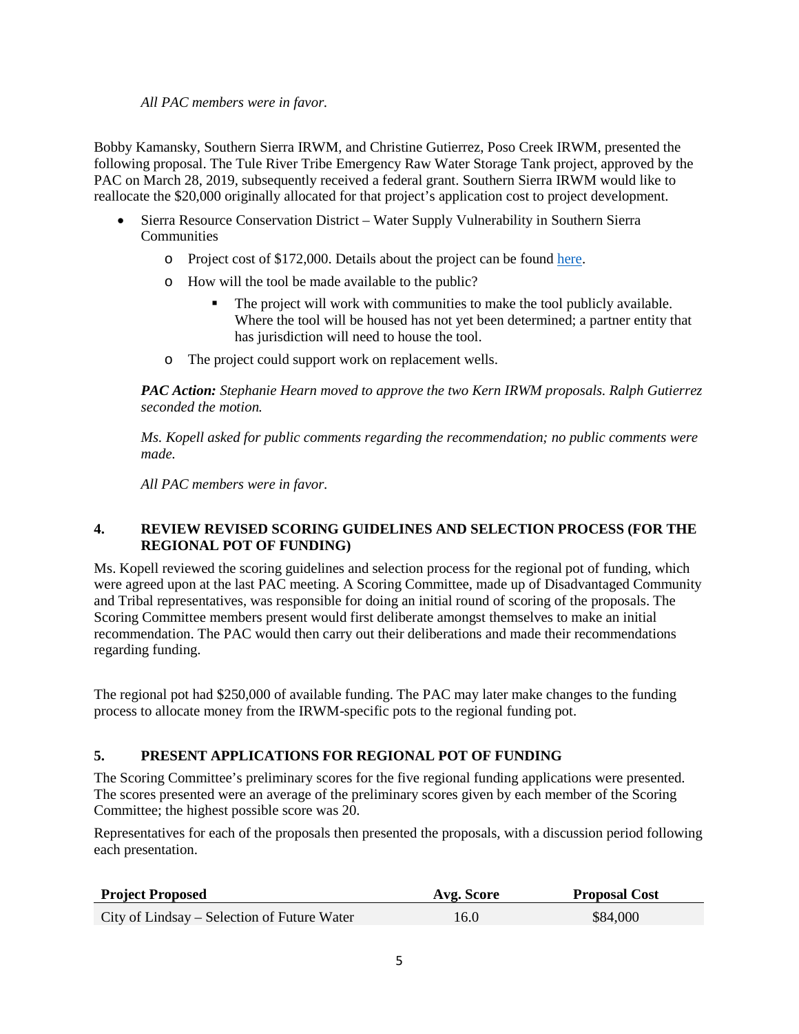## *All PAC members were in favor.*

Bobby Kamansky, Southern Sierra IRWM, and Christine Gutierrez, Poso Creek IRWM, presented the following proposal. The Tule River Tribe Emergency Raw Water Storage Tank project, approved by the PAC on March 28, 2019, subsequently received a federal grant. Southern Sierra IRWM would like to reallocate the \$20,000 originally allocated for that project's application cost to project development.

- Sierra Resource Conservation District Water Supply Vulnerability in Southern Sierra **Communities** 
	- o Project cost of \$172,000. Details about the project can be found [here.](https://tularelakebasin.com/alliance/index.cfm/tulare-kern-dac-involvement/project-development/southern-sierra-hydrology-study/)
	- o How will the tool be made available to the public?
		- The project will work with communities to make the tool publicly available. Where the tool will be housed has not yet been determined; a partner entity that has jurisdiction will need to house the tool.
	- o The project could support work on replacement wells.

*PAC Action: Stephanie Hearn moved to approve the two Kern IRWM proposals. Ralph Gutierrez seconded the motion.* 

*Ms. Kopell asked for public comments regarding the recommendation; no public comments were made.*

*All PAC members were in favor.*

## **4. REVIEW REVISED SCORING GUIDELINES AND SELECTION PROCESS (FOR THE REGIONAL POT OF FUNDING)**

Ms. Kopell reviewed the scoring guidelines and selection process for the regional pot of funding, which were agreed upon at the last PAC meeting. A Scoring Committee, made up of Disadvantaged Community and Tribal representatives, was responsible for doing an initial round of scoring of the proposals. The Scoring Committee members present would first deliberate amongst themselves to make an initial recommendation. The PAC would then carry out their deliberations and made their recommendations regarding funding.

The regional pot had \$250,000 of available funding. The PAC may later make changes to the funding process to allocate money from the IRWM-specific pots to the regional funding pot.

# **5. PRESENT APPLICATIONS FOR REGIONAL POT OF FUNDING**

The Scoring Committee's preliminary scores for the five regional funding applications were presented. The scores presented were an average of the preliminary scores given by each member of the Scoring Committee; the highest possible score was 20.

Representatives for each of the proposals then presented the proposals, with a discussion period following each presentation.

| <b>Project Proposed</b>                     | Avg. Score | <b>Proposal Cost</b> |
|---------------------------------------------|------------|----------------------|
| City of Lindsay – Selection of Future Water | 16.0       | \$84,000             |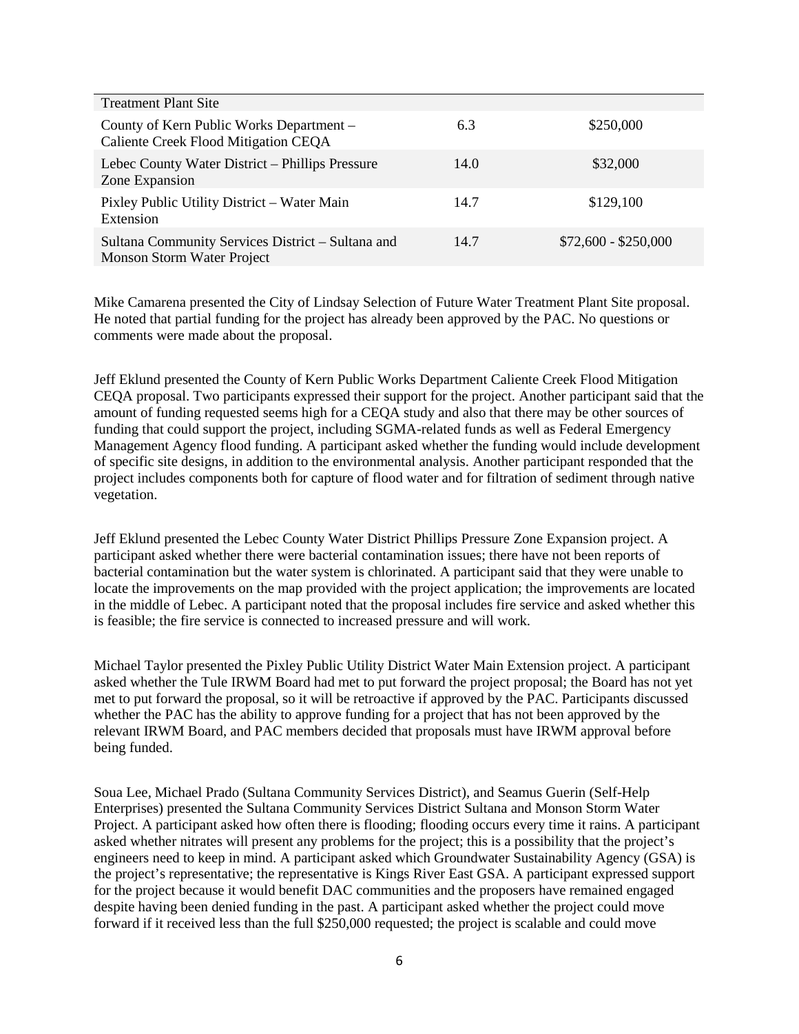| <b>Treatment Plant Site</b>                                                            |      |                      |
|----------------------------------------------------------------------------------------|------|----------------------|
| County of Kern Public Works Department -<br>Caliente Creek Flood Mitigation CEQA       | 6.3  | \$250,000            |
| Lebec County Water District – Phillips Pressure<br>Zone Expansion                      | 14.0 | \$32,000             |
| Pixley Public Utility District – Water Main<br>Extension                               | 14.7 | \$129,100            |
| Sultana Community Services District - Sultana and<br><b>Monson Storm Water Project</b> | 14.7 | $$72,600 - $250,000$ |

Mike Camarena presented the City of Lindsay Selection of Future Water Treatment Plant Site proposal. He noted that partial funding for the project has already been approved by the PAC. No questions or comments were made about the proposal.

Jeff Eklund presented the County of Kern Public Works Department Caliente Creek Flood Mitigation CEQA proposal. Two participants expressed their support for the project. Another participant said that the amount of funding requested seems high for a CEQA study and also that there may be other sources of funding that could support the project, including SGMA-related funds as well as Federal Emergency Management Agency flood funding. A participant asked whether the funding would include development of specific site designs, in addition to the environmental analysis. Another participant responded that the project includes components both for capture of flood water and for filtration of sediment through native vegetation.

Jeff Eklund presented the Lebec County Water District Phillips Pressure Zone Expansion project. A participant asked whether there were bacterial contamination issues; there have not been reports of bacterial contamination but the water system is chlorinated. A participant said that they were unable to locate the improvements on the map provided with the project application; the improvements are located in the middle of Lebec. A participant noted that the proposal includes fire service and asked whether this is feasible; the fire service is connected to increased pressure and will work.

Michael Taylor presented the Pixley Public Utility District Water Main Extension project. A participant asked whether the Tule IRWM Board had met to put forward the project proposal; the Board has not yet met to put forward the proposal, so it will be retroactive if approved by the PAC. Participants discussed whether the PAC has the ability to approve funding for a project that has not been approved by the relevant IRWM Board, and PAC members decided that proposals must have IRWM approval before being funded.

Soua Lee, Michael Prado (Sultana Community Services District), and Seamus Guerin (Self-Help Enterprises) presented the Sultana Community Services District Sultana and Monson Storm Water Project. A participant asked how often there is flooding; flooding occurs every time it rains. A participant asked whether nitrates will present any problems for the project; this is a possibility that the project's engineers need to keep in mind. A participant asked which Groundwater Sustainability Agency (GSA) is the project's representative; the representative is Kings River East GSA. A participant expressed support for the project because it would benefit DAC communities and the proposers have remained engaged despite having been denied funding in the past. A participant asked whether the project could move forward if it received less than the full \$250,000 requested; the project is scalable and could move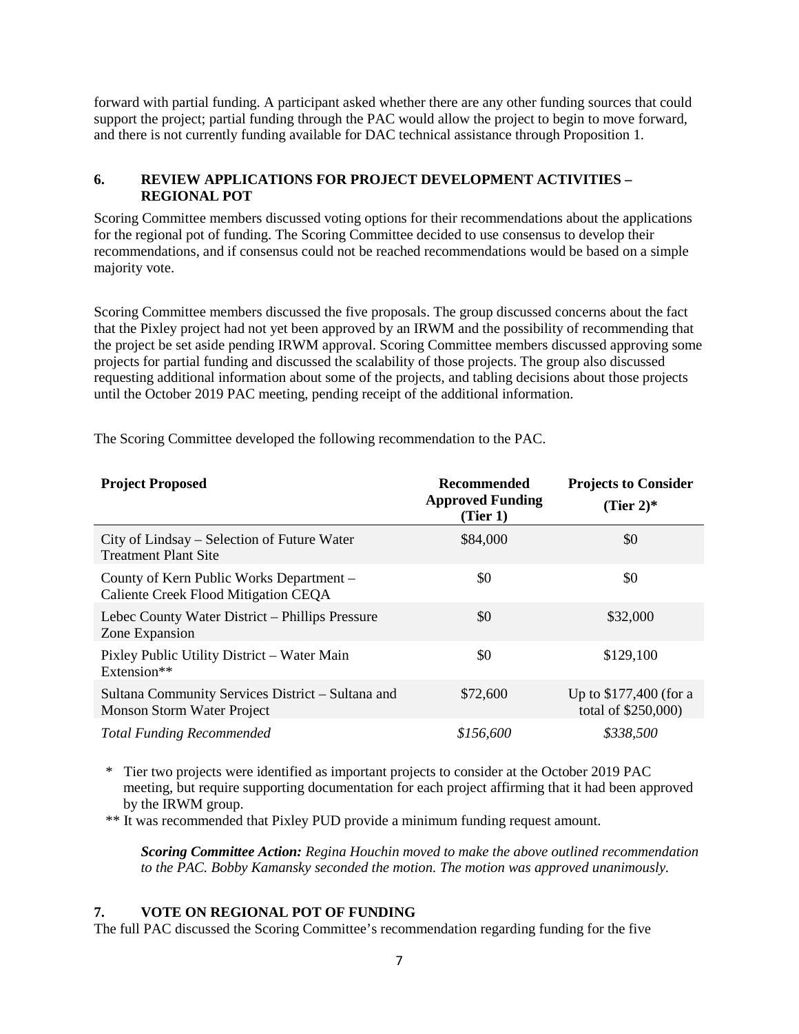forward with partial funding. A participant asked whether there are any other funding sources that could support the project; partial funding through the PAC would allow the project to begin to move forward, and there is not currently funding available for DAC technical assistance through Proposition 1.

## **6. REVIEW APPLICATIONS FOR PROJECT DEVELOPMENT ACTIVITIES – REGIONAL POT**

Scoring Committee members discussed voting options for their recommendations about the applications for the regional pot of funding. The Scoring Committee decided to use consensus to develop their recommendations, and if consensus could not be reached recommendations would be based on a simple majority vote.

Scoring Committee members discussed the five proposals. The group discussed concerns about the fact that the Pixley project had not yet been approved by an IRWM and the possibility of recommending that the project be set aside pending IRWM approval. Scoring Committee members discussed approving some projects for partial funding and discussed the scalability of those projects. The group also discussed requesting additional information about some of the projects, and tabling decisions about those projects until the October 2019 PAC meeting, pending receipt of the additional information.

| <b>Project Proposed</b>                                                          | <b>Recommended</b><br><b>Approved Funding</b><br>(Tier 1) | <b>Projects to Consider</b><br>(Tier 2) $*$   |
|----------------------------------------------------------------------------------|-----------------------------------------------------------|-----------------------------------------------|
| City of Lindsay – Selection of Future Water<br><b>Treatment Plant Site</b>       | \$84,000                                                  | \$0                                           |
| County of Kern Public Works Department –<br>Caliente Creek Flood Mitigation CEQA | \$0                                                       | \$0                                           |
| Lebec County Water District – Phillips Pressure<br>Zone Expansion                | \$0                                                       | \$32,000                                      |
| Pixley Public Utility District - Water Main<br>Extension**                       | \$0                                                       | \$129,100                                     |
| Sultana Community Services District – Sultana and<br>Monson Storm Water Project  | \$72,600                                                  | Up to \$177,400 (for a<br>total of \$250,000) |
| <b>Total Funding Recommended</b>                                                 | \$156,600                                                 | \$338,500                                     |

The Scoring Committee developed the following recommendation to the PAC.

\* Tier two projects were identified as important projects to consider at the October 2019 PAC meeting, but require supporting documentation for each project affirming that it had been approved by the IRWM group.

\*\* It was recommended that Pixley PUD provide a minimum funding request amount.

*Scoring Committee Action: Regina Houchin moved to make the above outlined recommendation to the PAC. Bobby Kamansky seconded the motion. The motion was approved unanimously.*

## **7. VOTE ON REGIONAL POT OF FUNDING**

The full PAC discussed the Scoring Committee's recommendation regarding funding for the five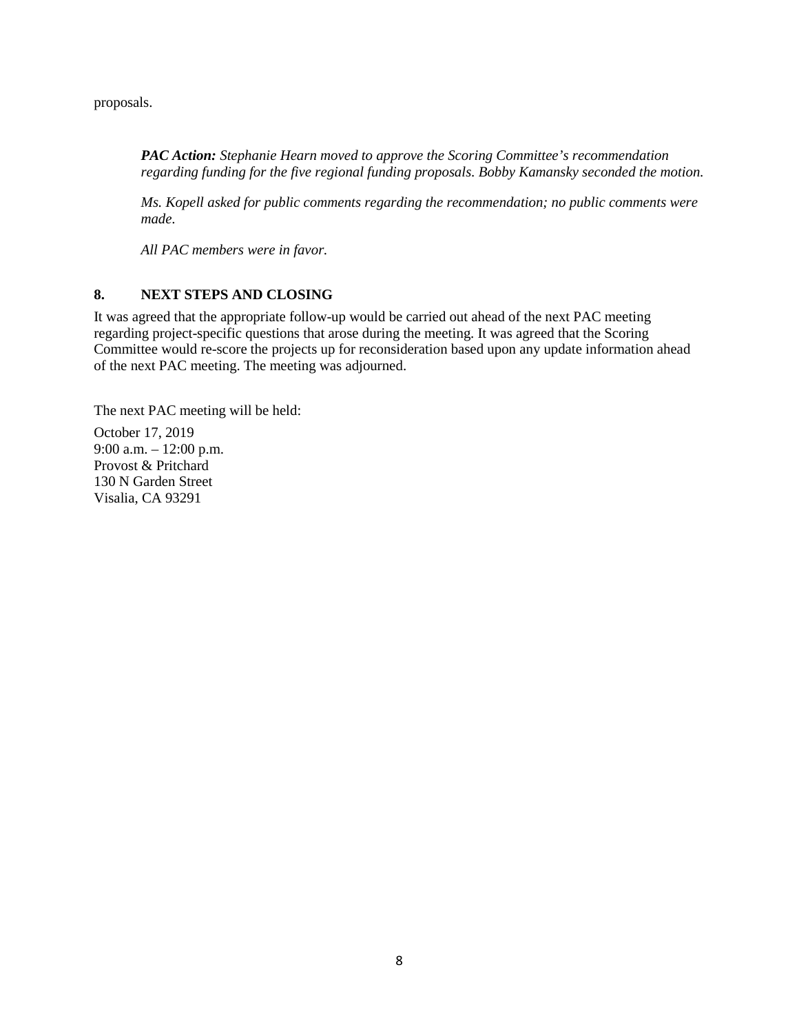proposals.

*PAC Action: Stephanie Hearn moved to approve the Scoring Committee's recommendation regarding funding for the five regional funding proposals. Bobby Kamansky seconded the motion.* 

*Ms. Kopell asked for public comments regarding the recommendation; no public comments were made.*

*All PAC members were in favor.*

## **8. NEXT STEPS AND CLOSING**

It was agreed that the appropriate follow-up would be carried out ahead of the next PAC meeting regarding project-specific questions that arose during the meeting. It was agreed that the Scoring Committee would re-score the projects up for reconsideration based upon any update information ahead of the next PAC meeting. The meeting was adjourned.

The next PAC meeting will be held:

October 17, 2019 9:00 a.m. – 12:00 p.m. Provost & Pritchard 130 N Garden Street Visalia, CA 93291